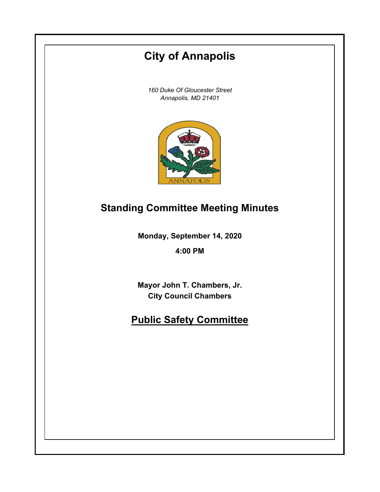# **City of Annapolis**

*160 Duke Of Gloucester Street Annapolis, MD 21401*



## **Standing Committee Meeting Minutes**

**Monday, September 14, 2020**

**4:00 PM**

**Mayor John T. Chambers, Jr. City Council Chambers**

## **Public Safety Committee**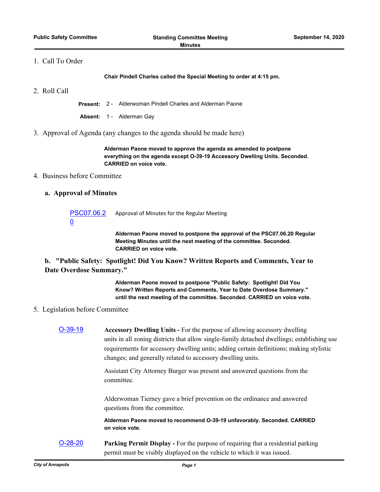#### 1. Call To Order

**Chair Pindell Charles called the Special Meeting to order at 4:15 pm.**

2. Roll Call

**Present:** 2 - Alderwoman Pindell Charles and Alderman Paone

**Absent:** 1 - Alderman Gay

3. Approval of Agenda (any changes to the agenda should be made here)

**Alderman Paone moved to approve the agenda as amended to postpone everything on the agenda except O-39-19 Accessory Dwelling Units. Seconded. CARRIED on voice vote.**

#### 4. Business before Committee

#### **a. Approval of Minutes**

[PSC07.06.2](http://annapolismd.legistar.com/gateway.aspx?m=l&id=/matter.aspx?key=4938) 0 Approval of Minutes for the Regular Meeting

> **Alderman Paone moved to postpone the approval of the PSC07.06.20 Regular Meeting Minutes until the next meeting of the committee. Seconded. CARRIED on voice vote.**

### **b. "Public Safety: Spotlight! Did You Know? Written Reports and Comments, Year to Date Overdose Summary."**

**Alderman Paone moved to postpone "Public Safety: Spotlight! Did You Know? Written Reports and Comments, Year to Date Overdose Summary." until the next meeting of the committee. Seconded. CARRIED on voice vote.**

### 5. Legislation before Committee

| $O-39-19$ | <b>Accessory Dwelling Units - For the purpose of allowing accessory dwelling</b><br>units in all zoning districts that allow single-family detached dwellings; establishing use<br>requirements for accessory dwelling units; adding certain definitions; making stylistic<br>changes; and generally related to accessory dwelling units. |
|-----------|-------------------------------------------------------------------------------------------------------------------------------------------------------------------------------------------------------------------------------------------------------------------------------------------------------------------------------------------|
|           | Assistant City Attorney Burger was present and answered questions from the<br>committee.                                                                                                                                                                                                                                                  |
|           | Alderwoman Tierney gave a brief prevention on the ordinance and answered<br>questions from the committee.                                                                                                                                                                                                                                 |
|           | Alderman Paone moved to recommend O-39-19 unfavorably. Seconded. CARRIED<br>on voice vote.                                                                                                                                                                                                                                                |
| $O-28-20$ | <b>Parking Permit Display - For the purpose of requiring that a residential parking</b><br>permit must be visibly displayed on the vehicle to which it was issued.                                                                                                                                                                        |